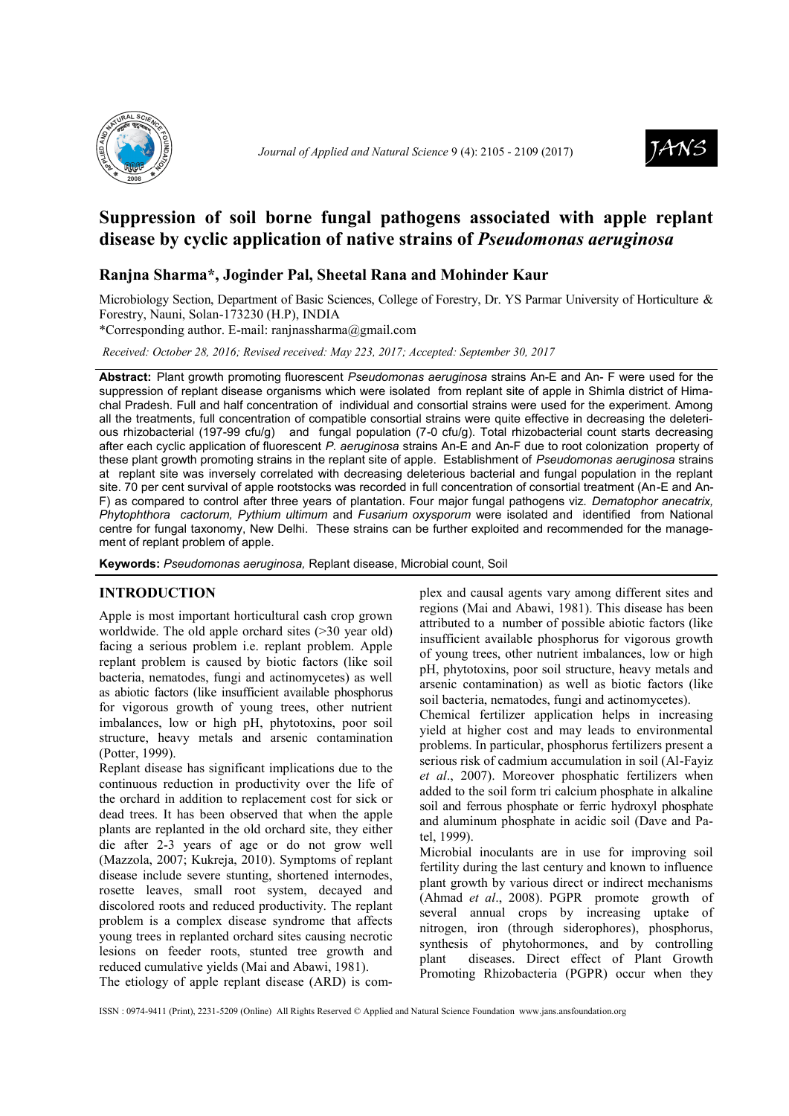



# **Suppression of soil borne fungal pathogens associated with apple replant disease by cyclic application of native strains of** *Pseudomonas aeruginosa*

## **Ranjna Sharma\*, Joginder Pal, Sheetal Rana and Mohinder Kaur**

Microbiology Section, Department of Basic Sciences, College of Forestry, Dr. YS Parmar University of Horticulture & Forestry, Nauni, Solan-173230 (H.P), INDIA

\*Corresponding author. E-mail: ranjnassharma@gmail.com

*Received: October 28, 2016; Revised received: May 223, 2017; Accepted: September 30, 2017*

**Abstract:** Plant growth promoting fluorescent *Pseudomonas aeruginosa* strains An-E and An- F were used for the suppression of replant disease organisms which were isolated from replant site of apple in Shimla district of Himachal Pradesh. Full and half concentration of individual and consortial strains were used for the experiment. Among all the treatments, full concentration of compatible consortial strains were quite effective in decreasing the deleterious rhizobacterial (197-99 cfu/g) and fungal population (7-0 cfu/g). Total rhizobacterial count starts decreasing after each cyclic application of fluorescent *P. aeruginosa* strains An-E and An-F due to root colonization property of these plant growth promoting strains in the replant site of apple. Establishment of *Pseudomonas aeruginosa* strains at replant site was inversely correlated with decreasing deleterious bacterial and fungal population in the replant site. 70 per cent survival of apple rootstocks was recorded in full concentration of consortial treatment (An-E and An-F) as compared to control after three years of plantation. Four major fungal pathogens viz. *Dematophor anecatrix, Phytophthora cactorum, Pythium ultimum* and *Fusarium oxysporum* were isolated and identified from National centre for fungal taxonomy, New Delhi. These strains can be further exploited and recommended for the management of replant problem of apple.

**Keywords:** *Pseudomonas aeruginosa,* Replant disease, Microbial count, Soil

## **INTRODUCTION**

Apple is most important horticultural cash crop grown worldwide. The old apple orchard sites (>30 year old) facing a serious problem i.e. replant problem. Apple replant problem is caused by biotic factors (like soil bacteria, nematodes, fungi and actinomycetes) as well as abiotic factors (like insufficient available phosphorus for vigorous growth of young trees, other nutrient imbalances, low or high pH, phytotoxins, poor soil structure, heavy metals and arsenic contamination (Potter, 1999).

Replant disease has significant implications due to the continuous reduction in productivity over the life of the orchard in addition to replacement cost for sick or dead trees. It has been observed that when the apple plants are replanted in the old orchard site, they either die after 2-3 years of age or do not grow well (Mazzola, 2007; Kukreja, 2010). Symptoms of replant disease include severe stunting, shortened internodes, rosette leaves, small root system, decayed and discolored roots and reduced productivity. The replant problem is a complex disease syndrome that affects young trees in replanted orchard sites causing necrotic lesions on feeder roots, stunted tree growth and reduced cumulative yields (Mai and Abawi, 1981). The etiology of apple replant disease (ARD) is com-

plex and causal agents vary among different sites and regions (Mai and Abawi, 1981). This disease has been attributed to a number of possible abiotic factors (like insufficient available phosphorus for vigorous growth of young trees, other nutrient imbalances, low or high pH, phytotoxins, poor soil structure, heavy metals and arsenic contamination) as well as biotic factors (like soil bacteria, nematodes, fungi and actinomycetes).

Chemical fertilizer application helps in increasing yield at higher cost and may leads to environmental problems. In particular, phosphorus fertilizers present a serious risk of cadmium accumulation in soil (Al-Fayiz *et al*., 2007). Moreover phosphatic fertilizers when added to the soil form tri calcium phosphate in alkaline soil and ferrous phosphate or ferric hydroxyl phosphate and aluminum phosphate in acidic soil (Dave and Patel, 1999).

Microbial inoculants are in use for improving soil fertility during the last century and known to influence plant growth by various direct or indirect mechanisms (Ahmad *et al*., 2008). PGPR promote growth of several annual crops by increasing uptake of nitrogen, iron (through siderophores), phosphorus, synthesis of phytohormones, and by controlling plant diseases. Direct effect of Plant Growth Promoting Rhizobacteria (PGPR) occur when they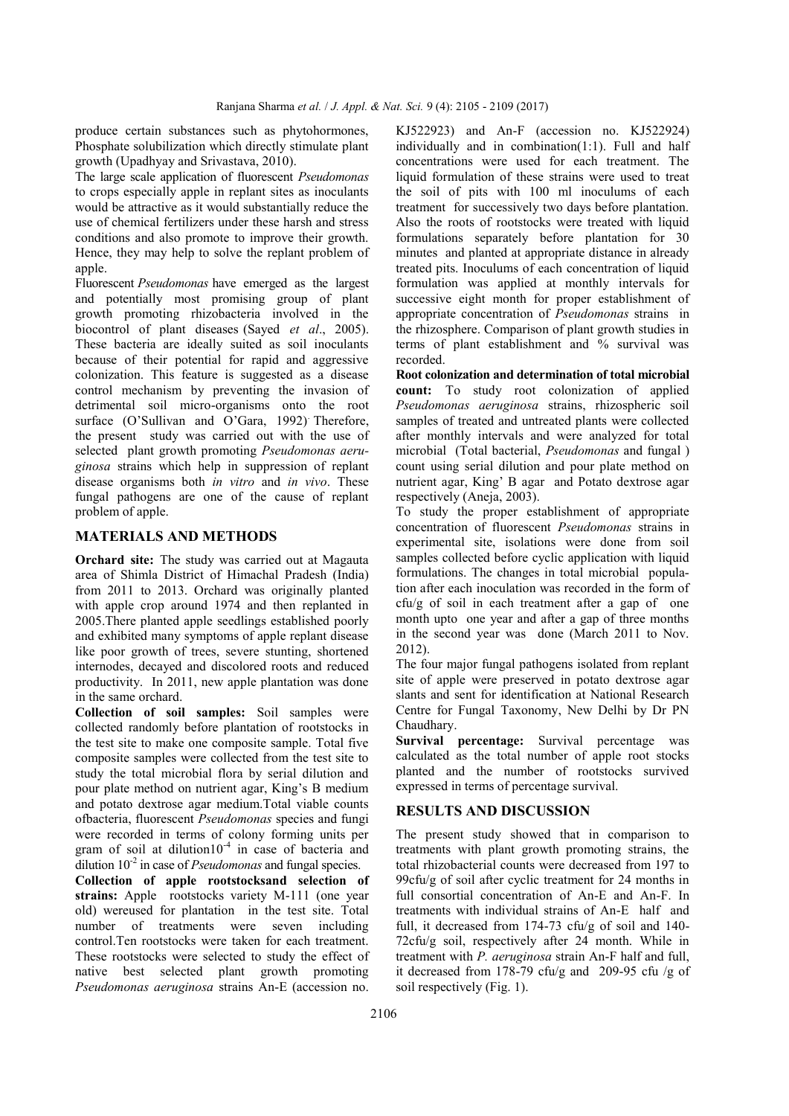produce certain substances such as phytohormones, Phosphate solubilization which directly stimulate plant growth (Upadhyay and Srivastava, 2010).

The large scale application of fluorescent *Pseudomonas* to crops especially apple in replant sites as inoculants would be attractive as it would substantially reduce the use of chemical fertilizers under these harsh and stress conditions and also promote to improve their growth. Hence, they may help to solve the replant problem of apple.

Fluorescent *Pseudomonas* have emerged as the largest and potentially most promising group of plant growth promoting rhizobacteria involved in the biocontrol of plant diseases (Sayed *et al*., 2005). These bacteria are ideally suited as soil inoculants because of their potential for rapid and aggressive colonization. This feature is suggested as a disease control mechanism by preventing the invasion of detrimental soil micro-organisms onto the root surface (O'Sullivan and O'Gara, 1992) Therefore, the present study was carried out with the use of selected plant growth promoting *Pseudomonas aeruginosa* strains which help in suppression of replant disease organisms both *in vitro* and *in vivo*. These fungal pathogens are one of the cause of replant problem of apple.

### **MATERIALS AND METHODS**

**Orchard site:** The study was carried out at Magauta area of Shimla District of Himachal Pradesh (India) from 2011 to 2013. Orchard was originally planted with apple crop around 1974 and then replanted in 2005.There planted apple seedlings established poorly and exhibited many symptoms of apple replant disease like poor growth of trees, severe stunting, shortened internodes, decayed and discolored roots and reduced productivity. In 2011, new apple plantation was done in the same orchard.

**Collection of soil samples:** Soil samples were collected randomly before plantation of rootstocks in the test site to make one composite sample. Total five composite samples were collected from the test site to study the total microbial flora by serial dilution and pour plate method on nutrient agar, King's B medium and potato dextrose agar medium.Total viable counts ofbacteria, fluorescent *Pseudomonas* species and fungi were recorded in terms of colony forming units per gram of soil at dilution10-<sup>4</sup> in case of bacteria and dilution 10<sup>-2</sup> in case of *Pseudomonas* and fungal species.

**Collection of apple rootstocksand selection of strains:** Apple rootstocks variety M-111 (one year old) wereused for plantation in the test site. Total number of treatments were seven including control.Ten rootstocks were taken for each treatment. These rootstocks were selected to study the effect of native best selected plant growth promoting *Pseudomonas aeruginosa* strains An-E (accession no. KJ522923) and An-F (accession no. KJ522924) individually and in combination(1:1). Full and half concentrations were used for each treatment. The liquid formulation of these strains were used to treat the soil of pits with 100 ml inoculums of each treatment for successively two days before plantation. Also the roots of rootstocks were treated with liquid formulations separately before plantation for 30 minutes and planted at appropriate distance in already treated pits. Inoculums of each concentration of liquid formulation was applied at monthly intervals for successive eight month for proper establishment of appropriate concentration of *Pseudomonas* strains in the rhizosphere. Comparison of plant growth studies in terms of plant establishment and % survival was recorded.

**Root colonization and determination of total microbial count:** To study root colonization of applied *Pseudomonas aeruginosa* strains, rhizospheric soil samples of treated and untreated plants were collected after monthly intervals and were analyzed for total microbial (Total bacterial, *Pseudomonas* and fungal ) count using serial dilution and pour plate method on nutrient agar, King' B agar and Potato dextrose agar respectively (Aneja, 2003).

To study the proper establishment of appropriate concentration of fluorescent *Pseudomonas* strains in experimental site, isolations were done from soil samples collected before cyclic application with liquid formulations. The changes in total microbial population after each inoculation was recorded in the form of cfu/g of soil in each treatment after a gap of one month upto one year and after a gap of three months in the second year was done (March 2011 to Nov. 2012).

The four major fungal pathogens isolated from replant site of apple were preserved in potato dextrose agar slants and sent for identification at National Research Centre for Fungal Taxonomy, New Delhi by Dr PN Chaudhary.

**Survival percentage:** Survival percentage was calculated as the total number of apple root stocks planted and the number of rootstocks survived expressed in terms of percentage survival.

#### **RESULTS AND DISCUSSION**

The present study showed that in comparison to treatments with plant growth promoting strains, the total rhizobacterial counts were decreased from 197 to 99cfu/g of soil after cyclic treatment for 24 months in full consortial concentration of An-E and An-F. In treatments with individual strains of An-E half and full, it decreased from 174-73 cfu/g of soil and 140- 72cfu/g soil, respectively after 24 month. While in treatment with *P. aeruginosa* strain An-F half and full, it decreased from 178-79 cfu/g and 209-95 cfu /g of soil respectively (Fig. 1).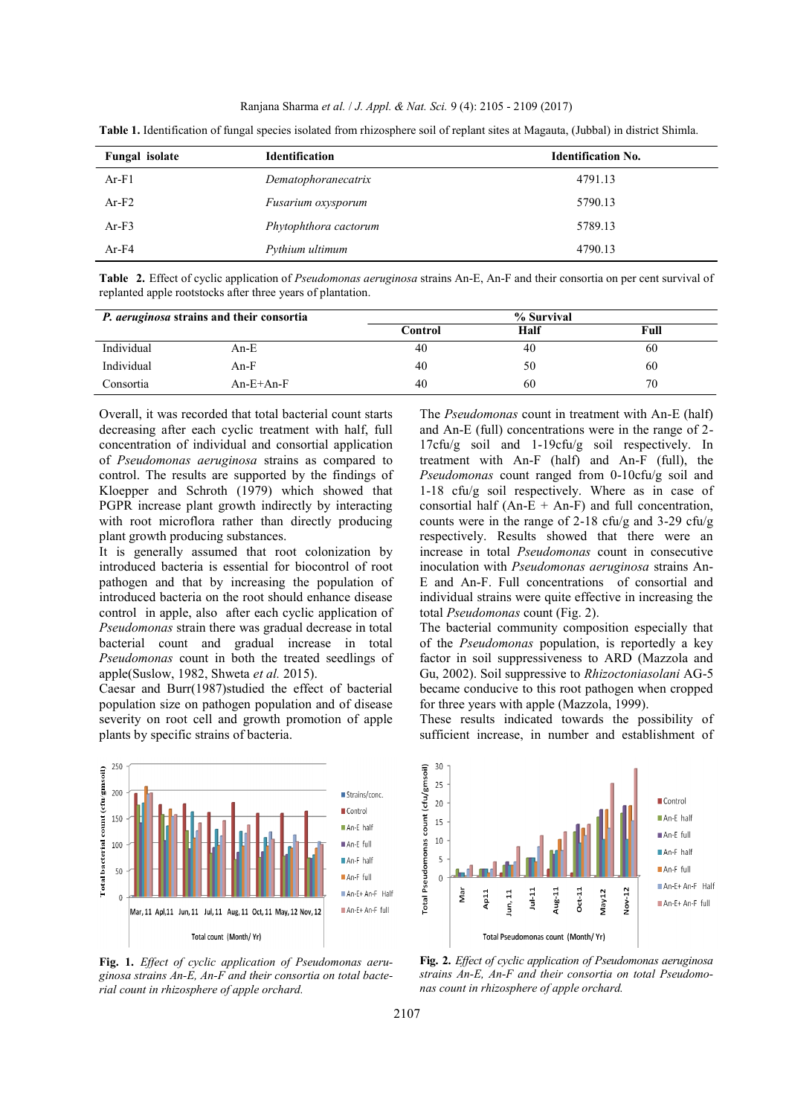Ranjana Sharma *et al.* / *J. Appl. & Nat. Sci.* 9 (4): 2105 - 2109 (2017)

| Fungal isolate | <b>Identification</b><br><b>Identification No.</b> |         |
|----------------|----------------------------------------------------|---------|
| $Ar-F1$        | Dematophoranecatrix                                | 4791.13 |
| $Ar-F2$        | Fusarium oxysporum                                 | 5790.13 |
| $Ar-F3$        | Phytophthora cactorum                              | 5789.13 |
| $Ar-F4$        | Pythium ultimum                                    | 4790.13 |

**Table 1.** Identification of fungal species isolated from rhizosphere soil of replant sites at Magauta, (Jubbal) in district Shimla.

**Table 2.** Effect of cyclic application of *Pseudomonas aeruginosa* strains An-E, An-F and their consortia on per cent survival of replanted apple rootstocks after three years of plantation.

| <i>P. aeruginosa</i> strains and their consortia |             | % Survival |      |      |
|--------------------------------------------------|-------------|------------|------|------|
|                                                  |             | Control    | Half | Full |
| Individual                                       | An-E        | 40         | 40   | 60   |
| Individual                                       | $An-F$      | 40         | 50   | 60   |
| Consortia                                        | $An-E+An-F$ | 40         | 60   | 70   |

Overall, it was recorded that total bacterial count starts decreasing after each cyclic treatment with half, full concentration of individual and consortial application of *Pseudomonas aeruginosa* strains as compared to control. The results are supported by the findings of Kloepper and Schroth (1979) which showed that PGPR increase plant growth indirectly by interacting with root microflora rather than directly producing plant growth producing substances.

It is generally assumed that root colonization by introduced bacteria is essential for biocontrol of root pathogen and that by increasing the population of introduced bacteria on the root should enhance disease control in apple, also after each cyclic application of *Pseudomonas* strain there was gradual decrease in total bacterial count and gradual increase in total *Pseudomonas* count in both the treated seedlings of apple(Suslow, 1982, Shweta *et al.* 2015).

Caesar and Burr(1987)studied the effect of bacterial population size on pathogen population and of disease severity on root cell and growth promotion of apple plants by specific strains of bacteria.



**Fig. 1.** *Effect of cyclic application of Pseudomonas aeruginosa strains An-E, An-F and their consortia on total bacterial count in rhizosphere of apple orchard.*

The *Pseudomonas* count in treatment with An-E (half) and An-E (full) concentrations were in the range of 2- 17cfu/g soil and 1-19cfu/g soil respectively. In treatment with An-F (half) and An-F (full), the *Pseudomonas* count ranged from 0-10cfu/g soil and 1-18 cfu/g soil respectively. Where as in case of consortial half  $(An-E + An-F)$  and full concentration, counts were in the range of  $2$ -18 cfu/g and  $3$ -29 cfu/g respectively. Results showed that there were an increase in total *Pseudomonas* count in consecutive inoculation with *Pseudomonas aeruginosa* strains An-E and An-F. Full concentrations of consortial and individual strains were quite effective in increasing the total *Pseudomonas* count (Fig. 2).

The bacterial community composition especially that of the *Pseudomonas* population, is reportedly a key factor in soil suppressiveness to ARD (Mazzola and Gu, 2002). Soil suppressive to *Rhizoctoniasolani* AG-5 became conducive to this root pathogen when cropped for three years with apple (Mazzola, 1999).

These results indicated towards the possibility of sufficient increase, in number and establishment of



**Fig. 2.** *Effect of cyclic application of Pseudomonas aeruginosa strains An-E, An-F and their consortia on total Pseudomonas count in rhizosphere of apple orchard.*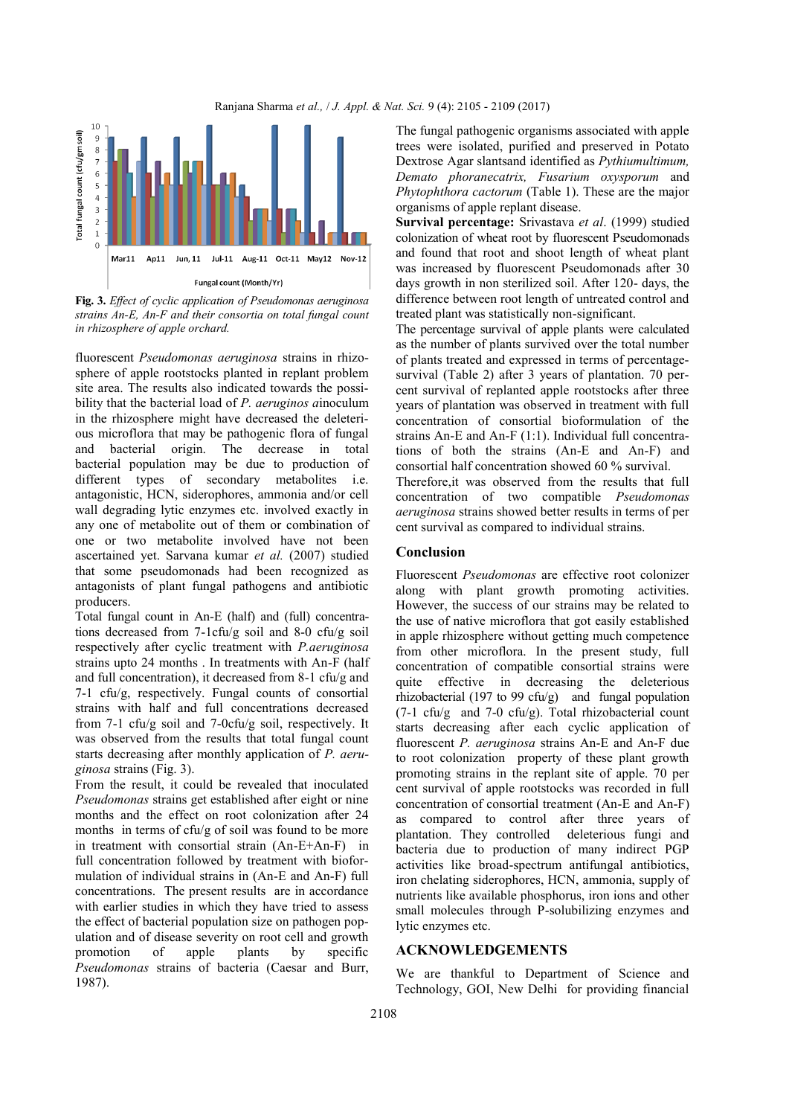



**Fig. 3.** *Effect of cyclic application of Pseudomonas aeruginosa strains An-E, An-F and their consortia on total fungal count in rhizosphere of apple orchard.*

fluorescent *Pseudomonas aeruginosa* strains in rhizosphere of apple rootstocks planted in replant problem site area. The results also indicated towards the possibility that the bacterial load of *P. aeruginos a*inoculum in the rhizosphere might have decreased the deleterious microflora that may be pathogenic flora of fungal and bacterial origin. The decrease in total bacterial population may be due to production of different types of secondary metabolites i.e. antagonistic, HCN, siderophores, ammonia and/or cell wall degrading lytic enzymes etc. involved exactly in any one of metabolite out of them or combination of one or two metabolite involved have not been ascertained yet. Sarvana kumar *et al.* (2007) studied that some pseudomonads had been recognized as antagonists of plant fungal pathogens and antibiotic producers.

Total fungal count in An-E (half) and (full) concentrations decreased from 7-1cfu/g soil and 8-0 cfu/g soil respectively after cyclic treatment with *P.aeruginosa* strains upto 24 months . In treatments with An-F (half and full concentration), it decreased from 8-1 cfu/g and 7-1 cfu/g, respectively. Fungal counts of consortial strains with half and full concentrations decreased from 7-1 cfu/g soil and 7-0cfu/g soil, respectively. It was observed from the results that total fungal count starts decreasing after monthly application of *P. aeruginosa* strains (Fig. 3).

From the result, it could be revealed that inoculated *Pseudomonas* strains get established after eight or nine months and the effect on root colonization after 24 months in terms of cfu/g of soil was found to be more in treatment with consortial strain (An-E+An-F) in full concentration followed by treatment with bioformulation of individual strains in (An-E and An-F) full concentrations. The present results are in accordance with earlier studies in which they have tried to assess the effect of bacterial population size on pathogen population and of disease severity on root cell and growth promotion of apple plants by specific *Pseudomonas* strains of bacteria (Caesar and Burr, 1987).

The fungal pathogenic organisms associated with apple trees were isolated, purified and preserved in Potato Dextrose Agar slantsand identified as *Pythiumultimum, Demato phoranecatrix, Fusarium oxysporum* and *Phytophthora cactorum* (Table 1). These are the major organisms of apple replant disease.

**Survival percentage:** Srivastava *et al*. (1999) studied colonization of wheat root by fluorescent Pseudomonads and found that root and shoot length of wheat plant was increased by fluorescent Pseudomonads after 30 days growth in non sterilized soil. After 120- days, the difference between root length of untreated control and treated plant was statistically non-significant.

The percentage survival of apple plants were calculated as the number of plants survived over the total number of plants treated and expressed in terms of percentagesurvival (Table 2) after 3 years of plantation. 70 percent survival of replanted apple rootstocks after three years of plantation was observed in treatment with full concentration of consortial bioformulation of the strains An-E and An-F (1:1). Individual full concentrations of both the strains (An-E and An-F) and consortial half concentration showed 60 % survival.

Therefore,it was observed from the results that full concentration of two compatible *Pseudomonas aeruginosa* strains showed better results in terms of per cent survival as compared to individual strains.

## **Conclusion**

Fluorescent *Pseudomonas* are effective root colonizer along with plant growth promoting activities. However, the success of our strains may be related to the use of native microflora that got easily established in apple rhizosphere without getting much competence from other microflora. In the present study, full concentration of compatible consortial strains were quite effective in decreasing the deleterious rhizobacterial (197 to 99 cfu/g) and fungal population  $(7-1)$  cfu/g and  $7-0$  cfu/g). Total rhizobacterial count starts decreasing after each cyclic application of fluorescent *P. aeruginosa* strains An-E and An-F due to root colonization property of these plant growth promoting strains in the replant site of apple. 70 per cent survival of apple rootstocks was recorded in full concentration of consortial treatment (An-E and An-F) as compared to control after three years of plantation. They controlled deleterious fungi and bacteria due to production of many indirect PGP activities like broad-spectrum antifungal antibiotics, iron chelating siderophores, HCN, ammonia, supply of nutrients like available phosphorus, iron ions and other small molecules through P-solubilizing enzymes and lytic enzymes etc.

#### **ACKNOWLEDGEMENTS**

We are thankful to Department of Science and Technology, GOI, New Delhi for providing financial